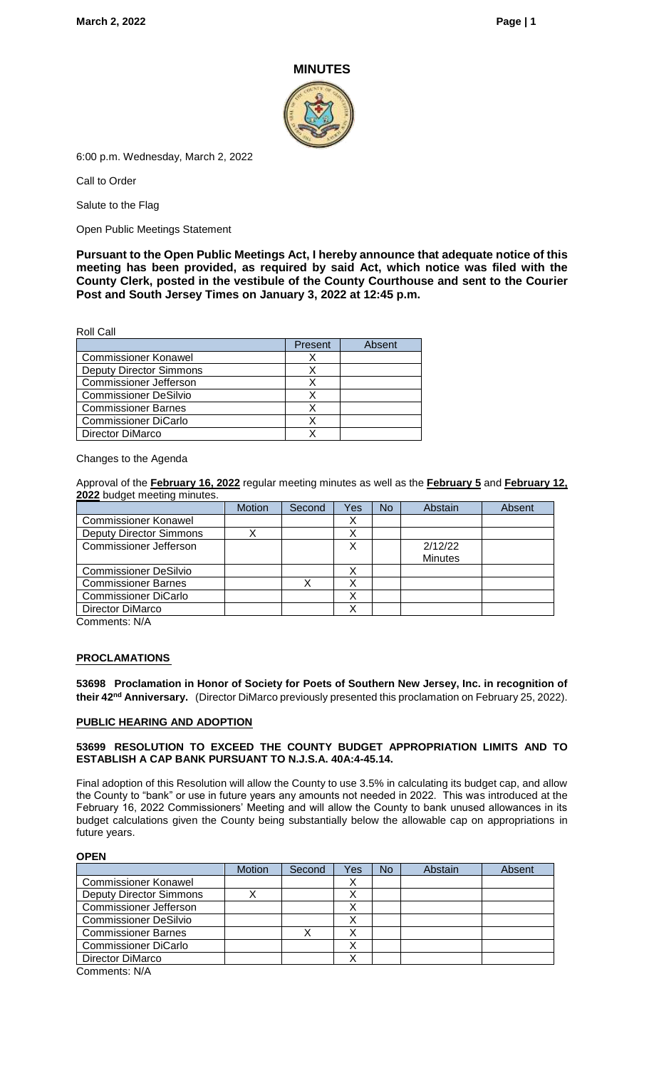#### **MINUTES**



6:00 p.m. Wednesday, March 2, 2022

Call to Order

Salute to the Flag

Open Public Meetings Statement

**Pursuant to the Open Public Meetings Act, I hereby announce that adequate notice of this meeting has been provided, as required by said Act, which notice was filed with the County Clerk, posted in the vestibule of the County Courthouse and sent to the Courier Post and South Jersey Times on January 3, 2022 at 12:45 p.m.**

Roll Call

|                                | Present | Absent |
|--------------------------------|---------|--------|
| <b>Commissioner Konawel</b>    |         |        |
| <b>Deputy Director Simmons</b> |         |        |
| <b>Commissioner Jefferson</b>  |         |        |
| <b>Commissioner DeSilvio</b>   |         |        |
| <b>Commissioner Barnes</b>     |         |        |
| <b>Commissioner DiCarlo</b>    |         |        |
| Director DiMarco               |         |        |

#### Changes to the Agenda

Approval of the **February 16, 2022** regular meeting minutes as well as the **February 5** and **February 12, 2022** budget meeting minutes.

|                                | <b>Motion</b> | Second | Yes | No | Abstain        | Absent |
|--------------------------------|---------------|--------|-----|----|----------------|--------|
| <b>Commissioner Konawel</b>    |               |        | х   |    |                |        |
| <b>Deputy Director Simmons</b> |               |        |     |    |                |        |
| <b>Commissioner Jefferson</b>  |               |        | X   |    | 2/12/22        |        |
|                                |               |        |     |    | <b>Minutes</b> |        |
| <b>Commissioner DeSilvio</b>   |               |        | х   |    |                |        |
| <b>Commissioner Barnes</b>     |               |        |     |    |                |        |
| <b>Commissioner DiCarlo</b>    |               |        | ⋏   |    |                |        |
| Director DiMarco               |               |        |     |    |                |        |
| Comments: N/A                  |               |        |     |    |                |        |

**PROCLAMATIONS**

**53698 Proclamation in Honor of Society for Poets of Southern New Jersey, Inc. in recognition of their 42nd Anniversary.** (Director DiMarco previously presented this proclamation on February 25, 2022).

#### **PUBLIC HEARING AND ADOPTION**

#### **53699 RESOLUTION TO EXCEED THE COUNTY BUDGET APPROPRIATION LIMITS AND TO ESTABLISH A CAP BANK PURSUANT TO N.J.S.A. 40A:4-45.14.**

Final adoption of this Resolution will allow the County to use 3.5% in calculating its budget cap, and allow the County to "bank" or use in future years any amounts not needed in 2022. This was introduced at the February 16, 2022 Commissioners' Meeting and will allow the County to bank unused allowances in its budget calculations given the County being substantially below the allowable cap on appropriations in future years.

#### **OPEN**

|                                | <b>Motion</b> | Second | Yes | No | Abstain | Absent |
|--------------------------------|---------------|--------|-----|----|---------|--------|
| <b>Commissioner Konawel</b>    |               |        | х   |    |         |        |
| <b>Deputy Director Simmons</b> |               |        |     |    |         |        |
| <b>Commissioner Jefferson</b>  |               |        |     |    |         |        |
| <b>Commissioner DeSilvio</b>   |               |        |     |    |         |        |
| <b>Commissioner Barnes</b>     |               |        |     |    |         |        |
| <b>Commissioner DiCarlo</b>    |               |        | ́   |    |         |        |
| Director DiMarco               |               |        |     |    |         |        |
| $Common$ ente: $N/\Delta$      |               |        |     |    |         |        |

Comments: N/A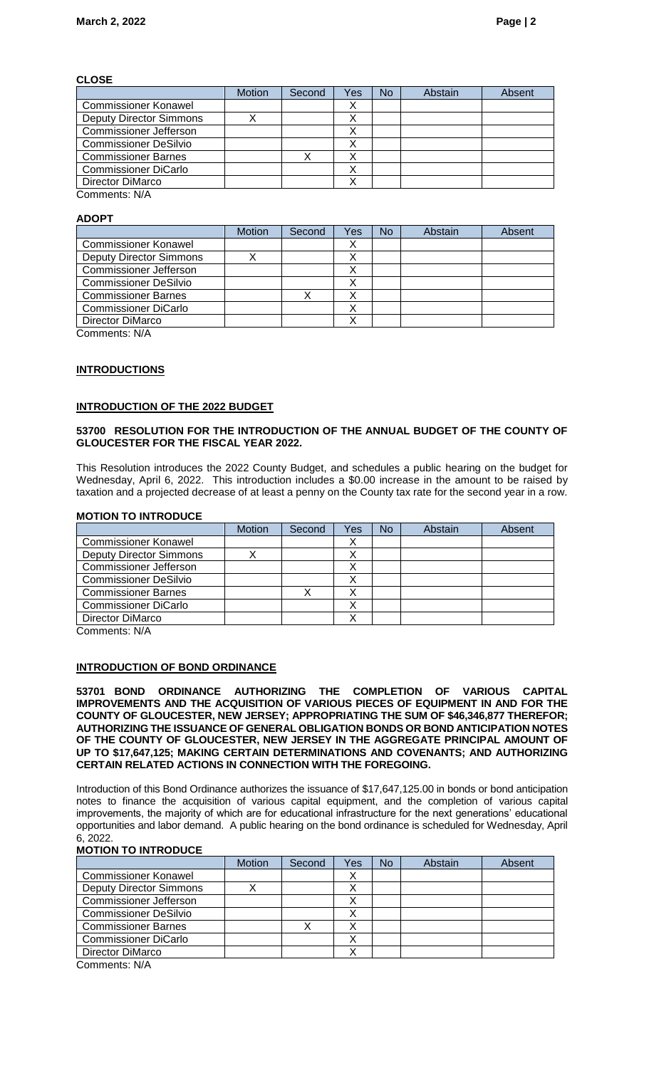#### **CLOSE**

|                                | <b>Motion</b> | Second | Yes | <b>No</b> | Abstain | Absent |
|--------------------------------|---------------|--------|-----|-----------|---------|--------|
| <b>Commissioner Konawel</b>    |               |        | ∧   |           |         |        |
| <b>Deputy Director Simmons</b> |               |        |     |           |         |        |
| <b>Commissioner Jefferson</b>  |               |        |     |           |         |        |
| <b>Commissioner DeSilvio</b>   |               |        |     |           |         |        |
| <b>Commissioner Barnes</b>     |               |        |     |           |         |        |
| <b>Commissioner DiCarlo</b>    |               |        |     |           |         |        |
| Director DiMarco               |               |        |     |           |         |        |
| Comments: N/A                  |               |        |     |           |         |        |

### **ADOPT**

|                                | <b>Motion</b> | Second | Yes | <b>No</b> | Abstain | Absent |
|--------------------------------|---------------|--------|-----|-----------|---------|--------|
| <b>Commissioner Konawel</b>    |               |        |     |           |         |        |
| <b>Deputy Director Simmons</b> |               |        | ∧   |           |         |        |
| Commissioner Jefferson         |               |        |     |           |         |        |
| <b>Commissioner DeSilvio</b>   |               |        |     |           |         |        |
| <b>Commissioner Barnes</b>     |               |        |     |           |         |        |
| <b>Commissioner DiCarlo</b>    |               |        | ∧   |           |         |        |
| Director DiMarco               |               |        |     |           |         |        |
| Commonnet: N/A                 |               |        |     |           |         |        |

Comments: N/A

#### **INTRODUCTIONS**

### **INTRODUCTION OF THE 2022 BUDGET**

#### **53700 RESOLUTION FOR THE INTRODUCTION OF THE ANNUAL BUDGET OF THE COUNTY OF GLOUCESTER FOR THE FISCAL YEAR 2022.**

This Resolution introduces the 2022 County Budget, and schedules a public hearing on the budget for Wednesday, April 6, 2022. This introduction includes a \$0.00 increase in the amount to be raised by taxation and a projected decrease of at least a penny on the County tax rate for the second year in a row.

#### **MOTION TO INTRODUCE**

|                                | <b>Motion</b> | Second | Yes | No | Abstain | Absent |
|--------------------------------|---------------|--------|-----|----|---------|--------|
| <b>Commissioner Konawel</b>    |               |        | ∧   |    |         |        |
| <b>Deputy Director Simmons</b> |               |        | Λ   |    |         |        |
| <b>Commissioner Jefferson</b>  |               |        |     |    |         |        |
| <b>Commissioner DeSilvio</b>   |               |        | ∧   |    |         |        |
| <b>Commissioner Barnes</b>     |               |        |     |    |         |        |
| <b>Commissioner DiCarlo</b>    |               |        | ∧   |    |         |        |
| <b>Director DiMarco</b>        |               |        |     |    |         |        |
| $\bigcap$ 11/4                 |               |        |     |    |         |        |

Comments: N/A

### **INTRODUCTION OF BOND ORDINANCE**

**53701 BOND ORDINANCE AUTHORIZING THE COMPLETION OF VARIOUS CAPITAL IMPROVEMENTS AND THE ACQUISITION OF VARIOUS PIECES OF EQUIPMENT IN AND FOR THE COUNTY OF GLOUCESTER, NEW JERSEY; APPROPRIATING THE SUM OF \$46,346,877 THEREFOR; AUTHORIZING THE ISSUANCE OF GENERAL OBLIGATION BONDS OR BOND ANTICIPATION NOTES OF THE COUNTY OF GLOUCESTER, NEW JERSEY IN THE AGGREGATE PRINCIPAL AMOUNT OF UP TO \$17,647,125; MAKING CERTAIN DETERMINATIONS AND COVENANTS; AND AUTHORIZING CERTAIN RELATED ACTIONS IN CONNECTION WITH THE FOREGOING.** 

Introduction of this Bond Ordinance authorizes the issuance of \$17,647,125.00 in bonds or bond anticipation notes to finance the acquisition of various capital equipment, and the completion of various capital improvements, the majority of which are for educational infrastructure for the next generations' educational opportunities and labor demand. A public hearing on the bond ordinance is scheduled for Wednesday, April 6, 2022.

#### **MOTION TO INTRODUCE**

|                                | <b>Motion</b> | Second | Yes | <b>No</b> | Abstain | Absent |
|--------------------------------|---------------|--------|-----|-----------|---------|--------|
| <b>Commissioner Konawel</b>    |               |        | ∧   |           |         |        |
| <b>Deputy Director Simmons</b> |               |        |     |           |         |        |
| <b>Commissioner Jefferson</b>  |               |        | ∧   |           |         |        |
| <b>Commissioner DeSilvio</b>   |               |        | Λ   |           |         |        |
| <b>Commissioner Barnes</b>     |               |        | ∧   |           |         |        |
| <b>Commissioner DiCarlo</b>    |               |        | ∧   |           |         |        |
| Director DiMarco               |               |        |     |           |         |        |
|                                |               |        |     |           |         |        |

Comments: N/A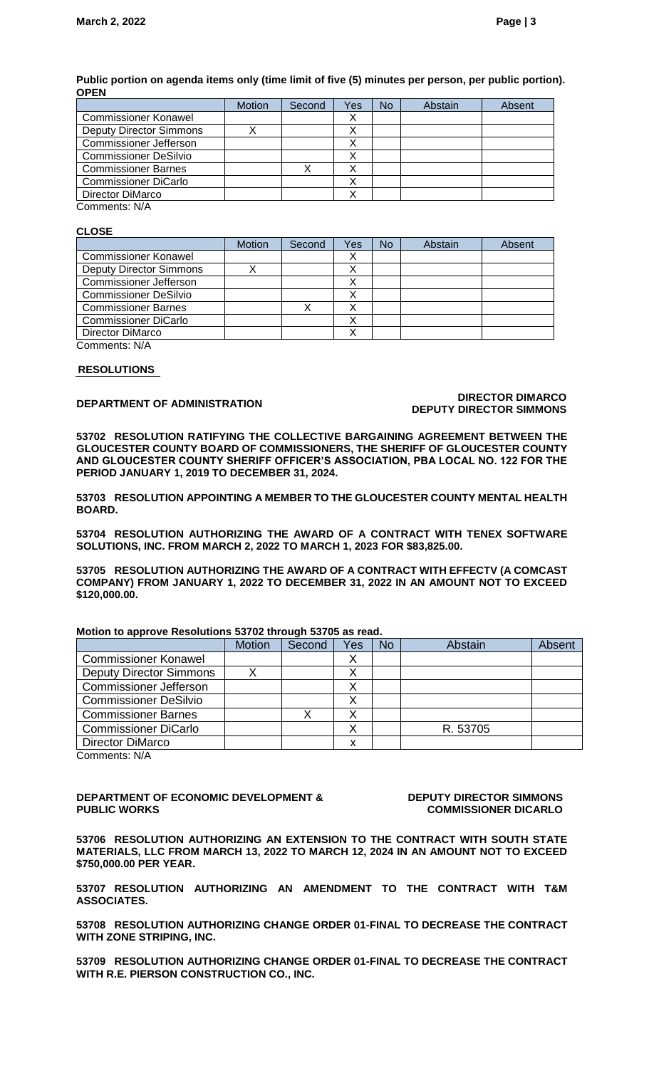#### **Public portion on agenda items only (time limit of five (5) minutes per person, per public portion). OPEN**

|                                | <b>Motion</b> | Second | Yes | No | Abstain | Absent |
|--------------------------------|---------------|--------|-----|----|---------|--------|
| <b>Commissioner Konawel</b>    |               |        |     |    |         |        |
| <b>Deputy Director Simmons</b> |               |        |     |    |         |        |
| <b>Commissioner Jefferson</b>  |               |        |     |    |         |        |
| <b>Commissioner DeSilvio</b>   |               |        |     |    |         |        |
| <b>Commissioner Barnes</b>     |               |        |     |    |         |        |
| <b>Commissioner DiCarlo</b>    |               |        | Λ   |    |         |        |
| Director DiMarco               |               |        |     |    |         |        |
|                                |               |        |     |    |         |        |

Comments: N/A

#### **CLOSE**

|                                | <b>Motion</b> | Second | Yes | No | Abstain | Absent |
|--------------------------------|---------------|--------|-----|----|---------|--------|
| <b>Commissioner Konawel</b>    |               |        | Х   |    |         |        |
| <b>Deputy Director Simmons</b> |               |        |     |    |         |        |
| <b>Commissioner Jefferson</b>  |               |        |     |    |         |        |
| <b>Commissioner DeSilvio</b>   |               |        | Λ   |    |         |        |
| <b>Commissioner Barnes</b>     |               |        |     |    |         |        |
| <b>Commissioner DiCarlo</b>    |               |        | ⋏   |    |         |        |
| <b>Director DiMarco</b>        |               |        | ◡   |    |         |        |
| Comments: N/A                  |               |        |     |    |         |        |

#### **RESOLUTIONS**

#### **DEPARTMENT OF ADMINISTRATION DIRECTOR DIMARCO DEPUTY DIRECTOR SIMMONS**

**53702 RESOLUTION RATIFYING THE COLLECTIVE BARGAINING AGREEMENT BETWEEN THE GLOUCESTER COUNTY BOARD OF COMMISSIONERS, THE SHERIFF OF GLOUCESTER COUNTY AND GLOUCESTER COUNTY SHERIFF OFFICER'S ASSOCIATION, PBA LOCAL NO. 122 FOR THE PERIOD JANUARY 1, 2019 TO DECEMBER 31, 2024.**

**53703 RESOLUTION APPOINTING A MEMBER TO THE GLOUCESTER COUNTY MENTAL HEALTH BOARD.**

**53704 RESOLUTION AUTHORIZING THE AWARD OF A CONTRACT WITH TENEX SOFTWARE SOLUTIONS, INC. FROM MARCH 2, 2022 TO MARCH 1, 2023 FOR \$83,825.00.**

**53705 RESOLUTION AUTHORIZING THE AWARD OF A CONTRACT WITH EFFECTV (A COMCAST COMPANY) FROM JANUARY 1, 2022 TO DECEMBER 31, 2022 IN AN AMOUNT NOT TO EXCEED \$120,000.00.**

#### **Motion to approve Resolutions 53702 through 53705 as read.**

| <b>Motion</b> | Second | Yes | <b>No</b> | Abstain  | Absent |
|---------------|--------|-----|-----------|----------|--------|
|               |        |     |           |          |        |
|               |        |     |           |          |        |
|               |        |     |           |          |        |
|               |        |     |           |          |        |
|               |        |     |           |          |        |
|               |        |     |           | R. 53705 |        |
|               |        |     |           |          |        |
|               |        |     |           |          |        |

Comments: N/A

**DEPARTMENT OF ECONOMIC DEVELOPMENT & PUBLIC WORKS**

**DEPUTY DIRECTOR SIMMONS COMMISSIONER DICARLO**

**53706 RESOLUTION AUTHORIZING AN EXTENSION TO THE CONTRACT WITH SOUTH STATE MATERIALS, LLC FROM MARCH 13, 2022 TO MARCH 12, 2024 IN AN AMOUNT NOT TO EXCEED \$750,000.00 PER YEAR.**

**53707 RESOLUTION AUTHORIZING AN AMENDMENT TO THE CONTRACT WITH T&M ASSOCIATES.**

**53708 RESOLUTION AUTHORIZING CHANGE ORDER 01-FINAL TO DECREASE THE CONTRACT WITH ZONE STRIPING, INC.**

**53709 RESOLUTION AUTHORIZING CHANGE ORDER 01-FINAL TO DECREASE THE CONTRACT WITH R.E. PIERSON CONSTRUCTION CO., INC.**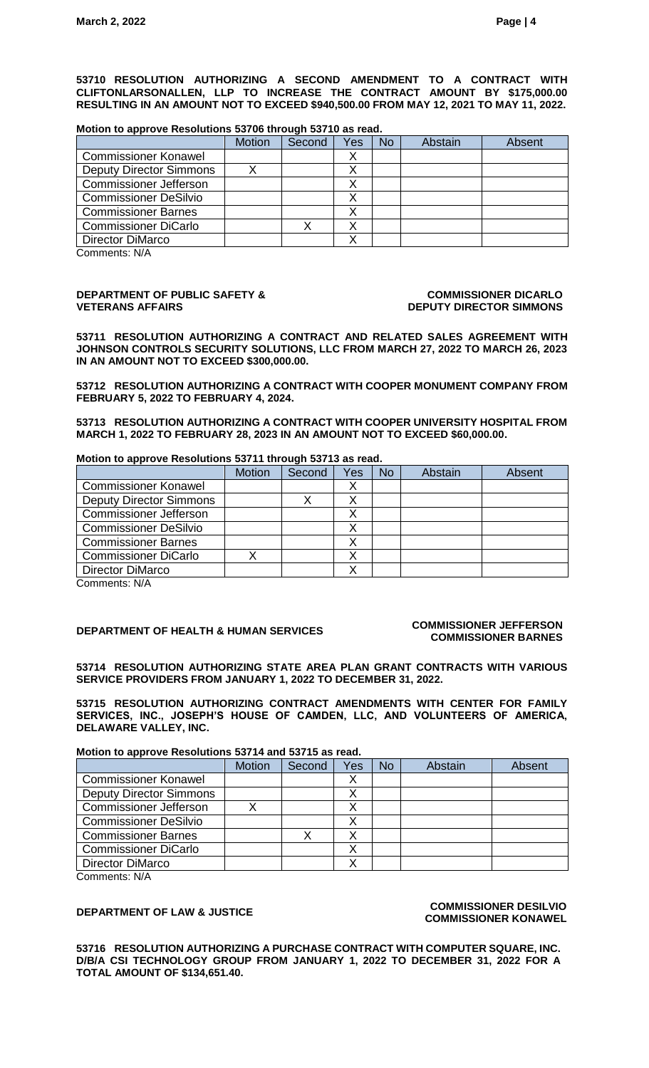**53710 RESOLUTION AUTHORIZING A SECOND AMENDMENT TO A CONTRACT WITH CLIFTONLARSONALLEN, LLP TO INCREASE THE CONTRACT AMOUNT BY \$175,000.00 RESULTING IN AN AMOUNT NOT TO EXCEED \$940,500.00 FROM MAY 12, 2021 TO MAY 11, 2022.**

#### **Motion to approve Resolutions 53706 through 53710 as read.**

|                                | <b>Motion</b> | Second | Yes | <b>No</b> | Abstain | Absent |
|--------------------------------|---------------|--------|-----|-----------|---------|--------|
| <b>Commissioner Konawel</b>    |               |        |     |           |         |        |
| <b>Deputy Director Simmons</b> |               |        |     |           |         |        |
| <b>Commissioner Jefferson</b>  |               |        |     |           |         |        |
| <b>Commissioner DeSilvio</b>   |               |        |     |           |         |        |
| <b>Commissioner Barnes</b>     |               |        |     |           |         |        |
| <b>Commissioner DiCarlo</b>    |               |        | ∧   |           |         |        |
| Director DiMarco               |               |        |     |           |         |        |

Comments: N/A

#### **DEPARTMENT OF PUBLIC SAFETY & VETERANS AFFAIRS**

#### **COMMISSIONER DICARLO DEPUTY DIRECTOR SIMMONS**

**53711 RESOLUTION AUTHORIZING A CONTRACT AND RELATED SALES AGREEMENT WITH JOHNSON CONTROLS SECURITY SOLUTIONS, LLC FROM MARCH 27, 2022 TO MARCH 26, 2023 IN AN AMOUNT NOT TO EXCEED \$300,000.00.**

**53712 RESOLUTION AUTHORIZING A CONTRACT WITH COOPER MONUMENT COMPANY FROM FEBRUARY 5, 2022 TO FEBRUARY 4, 2024.**

**53713 RESOLUTION AUTHORIZING A CONTRACT WITH COOPER UNIVERSITY HOSPITAL FROM MARCH 1, 2022 TO FEBRUARY 28, 2023 IN AN AMOUNT NOT TO EXCEED \$60,000.00.**

#### **Motion to approve Resolutions 53711 through 53713 as read.**

|                                | <b>Motion</b> | Second | Yes | <b>No</b> | Abstain | Absent |
|--------------------------------|---------------|--------|-----|-----------|---------|--------|
| <b>Commissioner Konawel</b>    |               |        |     |           |         |        |
| <b>Deputy Director Simmons</b> |               |        | X   |           |         |        |
| <b>Commissioner Jefferson</b>  |               |        |     |           |         |        |
| <b>Commissioner DeSilvio</b>   |               |        |     |           |         |        |
| <b>Commissioner Barnes</b>     |               |        |     |           |         |        |
| <b>Commissioner DiCarlo</b>    |               |        |     |           |         |        |
| <b>Director DiMarco</b>        |               |        |     |           |         |        |
| $C2$ mmonto: $N1/R$            |               |        |     |           |         |        |

Comments: N/A

## **DEPARTMENT OF HEALTH & HUMAN SERVICES COMMISSIONER JEFFERSON**

# **COMMISSIONER BARNES**

**53714 RESOLUTION AUTHORIZING STATE AREA PLAN GRANT CONTRACTS WITH VARIOUS SERVICE PROVIDERS FROM JANUARY 1, 2022 TO DECEMBER 31, 2022.**

**53715 RESOLUTION AUTHORIZING CONTRACT AMENDMENTS WITH CENTER FOR FAMILY SERVICES, INC., JOSEPH'S HOUSE OF CAMDEN, LLC, AND VOLUNTEERS OF AMERICA, DELAWARE VALLEY, INC.** 

#### **Motion to approve Resolutions 53714 and 53715 as read.**

|                                | <b>Motion</b> | Second | Yes | <b>No</b> | Abstain | Absent |
|--------------------------------|---------------|--------|-----|-----------|---------|--------|
| <b>Commissioner Konawel</b>    |               |        |     |           |         |        |
| <b>Deputy Director Simmons</b> |               |        | X   |           |         |        |
| <b>Commissioner Jefferson</b>  |               |        |     |           |         |        |
| <b>Commissioner DeSilvio</b>   |               |        |     |           |         |        |
| <b>Commissioner Barnes</b>     |               |        |     |           |         |        |
| <b>Commissioner DiCarlo</b>    |               |        | ∧   |           |         |        |
| <b>Director DiMarco</b>        |               |        |     |           |         |        |
|                                |               |        |     |           |         |        |

Comments: N/A

#### **DEPARTMENT OF LAW & JUSTICE COMMISSIONER DESILVIO COMMISSIONER KONAWEL**

**53716 RESOLUTION AUTHORIZING A PURCHASE CONTRACT WITH COMPUTER SQUARE, INC. D/B/A CSI TECHNOLOGY GROUP FROM JANUARY 1, 2022 TO DECEMBER 31, 2022 FOR A TOTAL AMOUNT OF \$134,651.40.**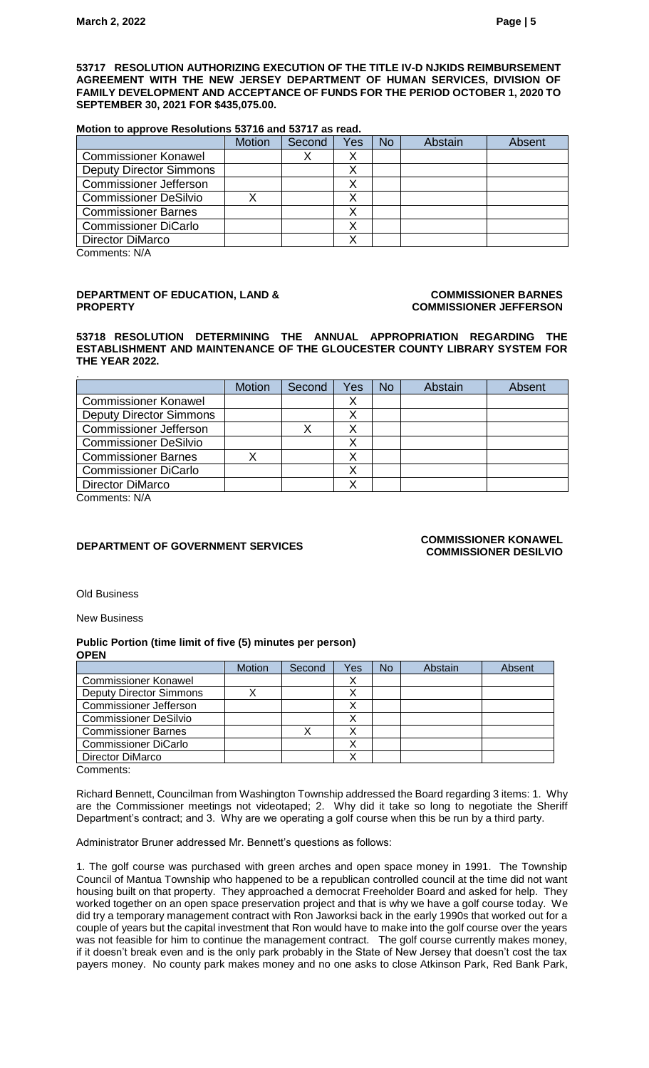**53717 RESOLUTION AUTHORIZING EXECUTION OF THE TITLE IV-D NJKIDS REIMBURSEMENT AGREEMENT WITH THE NEW JERSEY DEPARTMENT OF HUMAN SERVICES, DIVISION OF FAMILY DEVELOPMENT AND ACCEPTANCE OF FUNDS FOR THE PERIOD OCTOBER 1, 2020 TO SEPTEMBER 30, 2021 FOR \$435,075.00.**

#### **Motion to approve Resolutions 53716 and 53717 as read.**

|                                | <b>Motion</b> | Second | Yes | <b>No</b> | Abstain | Absent |
|--------------------------------|---------------|--------|-----|-----------|---------|--------|
| <b>Commissioner Konawel</b>    |               |        |     |           |         |        |
| <b>Deputy Director Simmons</b> |               |        |     |           |         |        |
| <b>Commissioner Jefferson</b>  |               |        | Λ   |           |         |        |
| <b>Commissioner DeSilvio</b>   |               |        |     |           |         |        |
| <b>Commissioner Barnes</b>     |               |        |     |           |         |        |
| <b>Commissioner DiCarlo</b>    |               |        |     |           |         |        |
| Director DiMarco               |               |        |     |           |         |        |

Comments: N/A

#### **DEPARTMENT OF EDUCATION, LAND & PROPERTY**

#### **COMMISSIONER BARNES COMMISSIONER JEFFERSON**

**53718 RESOLUTION DETERMINING THE ANNUAL APPROPRIATION REGARDING THE ESTABLISHMENT AND MAINTENANCE OF THE GLOUCESTER COUNTY LIBRARY SYSTEM FOR THE YEAR 2022.**

| <b>Motion</b> | Second | Yes | No | Abstain | Absent |
|---------------|--------|-----|----|---------|--------|
|               |        |     |    |         |        |
|               |        |     |    |         |        |
|               |        |     |    |         |        |
|               |        |     |    |         |        |
|               |        |     |    |         |        |
|               |        |     |    |         |        |
|               |        |     |    |         |        |
|               |        |     |    |         |        |

Comments: N/A

## **DEPARTMENT OF GOVERNMENT SERVICES COMMISSIONER KONAWEL**

# **COMMISSIONER DESILVIO**

Old Business

New Business

#### **Public Portion (time limit of five (5) minutes per person) OPEN**

|                                | <b>Motion</b> | Second | Yes | <b>No</b> | Abstain | Absent |
|--------------------------------|---------------|--------|-----|-----------|---------|--------|
| <b>Commissioner Konawel</b>    |               |        | ↗   |           |         |        |
| <b>Deputy Director Simmons</b> |               |        |     |           |         |        |
| <b>Commissioner Jefferson</b>  |               |        | ⌒   |           |         |        |
| <b>Commissioner DeSilvio</b>   |               |        | Λ   |           |         |        |
| <b>Commissioner Barnes</b>     |               |        |     |           |         |        |
| <b>Commissioner DiCarlo</b>    |               |        |     |           |         |        |
| Director DiMarco               |               |        |     |           |         |        |
| Commonte:                      |               |        |     |           |         |        |

Comments:

Richard Bennett, Councilman from Washington Township addressed the Board regarding 3 items: 1. Why are the Commissioner meetings not videotaped; 2. Why did it take so long to negotiate the Sheriff Department's contract; and 3. Why are we operating a golf course when this be run by a third party.

Administrator Bruner addressed Mr. Bennett's questions as follows:

1. The golf course was purchased with green arches and open space money in 1991. The Township Council of Mantua Township who happened to be a republican controlled council at the time did not want housing built on that property. They approached a democrat Freeholder Board and asked for help. They worked together on an open space preservation project and that is why we have a golf course today. We did try a temporary management contract with Ron Jaworksi back in the early 1990s that worked out for a couple of years but the capital investment that Ron would have to make into the golf course over the years was not feasible for him to continue the management contract. The golf course currently makes money, if it doesn't break even and is the only park probably in the State of New Jersey that doesn't cost the tax payers money. No county park makes money and no one asks to close Atkinson Park, Red Bank Park,